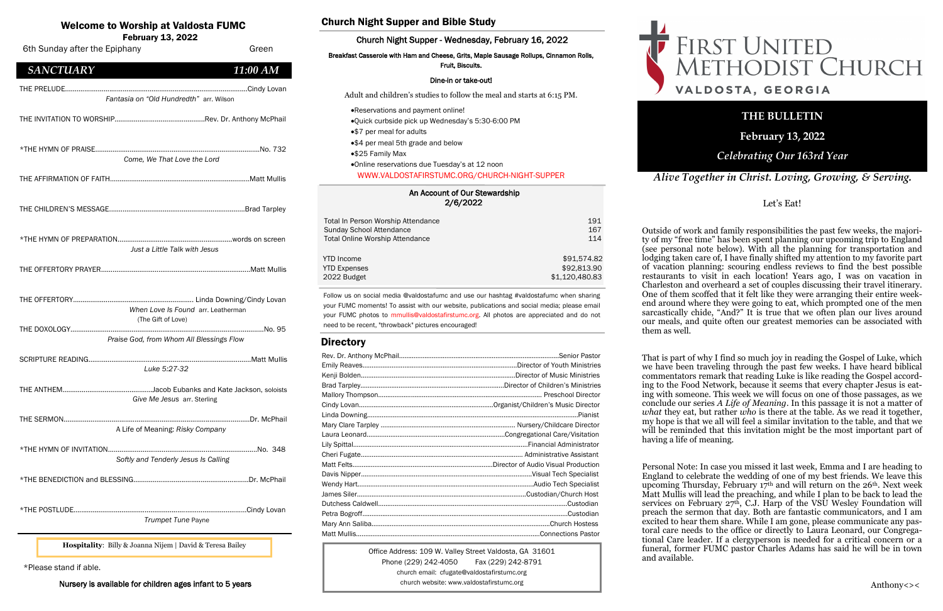#### An Account of Our Stewardship 2/6/2022

| Total In Person Worship Attendance     | 191            |
|----------------------------------------|----------------|
| Sunday School Attendance               | 167            |
| <b>Total Online Worship Attendance</b> | 114            |
| <b>YTD</b> Income                      | \$91,574.82    |
| <b>YTD Expenses</b>                    | \$92,813.90    |
| 2022 Budget                            | \$1,120,480.83 |

## Welcome to Worship at Valdosta FUMC

February 13, 2022

Office Address: 109 W. Valley Street Valdosta, GA 31601 Phone (229) 242-4050 Fax (229) 242-8791 church email: cfugate@valdostafirstumc.org church website: www.valdostafirstumc.org





*Alive Together in Christ. Loving, Growing, & Serving.*

# **THE BULLETIN**

**February 13, 2022**

## *Celebrating Our 163rd Year*

Follow us on social media @valdostafumc and use our hashtag #valdostafumc when sharing your FUMC moments! To assist with our website, publications and social media; please email your FUMC photos to mmullis@valdostafirstumc.org. All photos are appreciated and do not need to be recent, "throwback" pictures encouraged!

## **Directory**

| 6th Sunday after the Epiphany                                                         | Green    |
|---------------------------------------------------------------------------------------|----------|
| <b>SANCTUARY</b>                                                                      | 11:00 AM |
| Fantasia on "Old Hundredth" arr. Wilson                                               |          |
|                                                                                       |          |
| Come, We That Love the Lord                                                           |          |
|                                                                                       |          |
|                                                                                       |          |
| Just a Little Talk with Jesus                                                         |          |
|                                                                                       |          |
| When Love Is Found arr. Leatherman                                                    |          |
| (The Gift of Love)<br>Praise God, from Whom All Blessings Flow                        |          |
| Luke 5:27-32                                                                          |          |
| Jacob Eubanks and Kate Jackson, soloists<br>THE ANTHEM<br>Give Me Jesus arr. Sterling |          |
| A Life of Meaning: Risky Company                                                      |          |
| Softly and Tenderly Jesus Is Calling                                                  |          |
|                                                                                       |          |
| Trumpet Tune Payne                                                                    |          |
| Hospitality: Billy & Joanna Nijem   David & Teresa Bailey                             |          |

## Church Night Supper and Bible Study

### Church Night Supper - Wednesday, February 16, 2022

#### Breakfast Casserole with Ham and Cheese, Grits, Maple Sausage Rollups, Cinnamon Rolls, Fruit, Biscuits.

#### Dine-in or take-out!

Adult and children's studies to follow the meal and starts at 6:15 PM.

That is part of why I find so much joy in reading the Gospel of Luke, which we have been traveling through the past few weeks. I have heard biblical commentators remark that reading Luke is like reading the Gospel according to the Food Network, because it seems that every chapter Jesus is eating with someone. This week we will focus on one of those passages, as we conclude our series *A Life of Meaning*. In this passage it is not a matter of *what* they eat, but rather *who* is there at the table. As we read it together, my hope is that we all will feel a similar invitation to the table, and that we will be reminded that this invitation might be the most important part of

- •Reservations and payment online!
- •Quick curbside pick up Wednesday's 5:30-6:00 PM
- •\$7 per meal for adults
- •\$4 per meal 5th grade and below
- •\$25 Family Max

# •Online reservations due Tuesday's at 12 noon

WWW.VALDOSTAFIRSTUMC.ORG/CHURCH-NIGHT-SUPPER

\*Please stand if able.

Nursery is available for children ages infant to 5 years

### Let's Eat!

Outside of work and family responsibilities the past few weeks, the majority of my "free time" has been spent planning our upcoming trip to England (see personal note below). With all the planning for transportation and lodging taken care of, I have finally shifted my attention to my favorite part of vacation planning: scouring endless reviews to find the best possible restaurants to visit in each location! Years ago, I was on vacation in Charleston and overheard a set of couples discussing their travel itinerary. One of them scoffed that it felt like they were arranging their entire weekend around where they were going to eat, which prompted one of the men sarcastically chide, "And?" It is true that we often plan our lives around our meals, and quite often our greatest memories can be associated with them as well.

having a life of meaning.

Personal Note: In case you missed it last week, Emma and I are heading to England to celebrate the wedding of one of my best friends. We leave this upcoming Thursday, February 17th and will return on the 26th. Next week Matt Mullis will lead the preaching, and while I plan to be back to lead the services on February  $27<sup>th</sup>$ , C.J. Harp of the VSU Wesley Foundation will preach the sermon that day. Both are fantastic communicators, and I am excited to hear them share. While I am gone, please communicate any pastoral care needs to the office or directly to Laura Leonard, our Congregational Care leader. If a clergyperson is needed for a critical concern or a funeral, former FUMC pastor Charles Adams has said he will be in town

and available.

# FIRST UNITED<br>METHODIST CHURCH VALDOSTA, GEORGIA